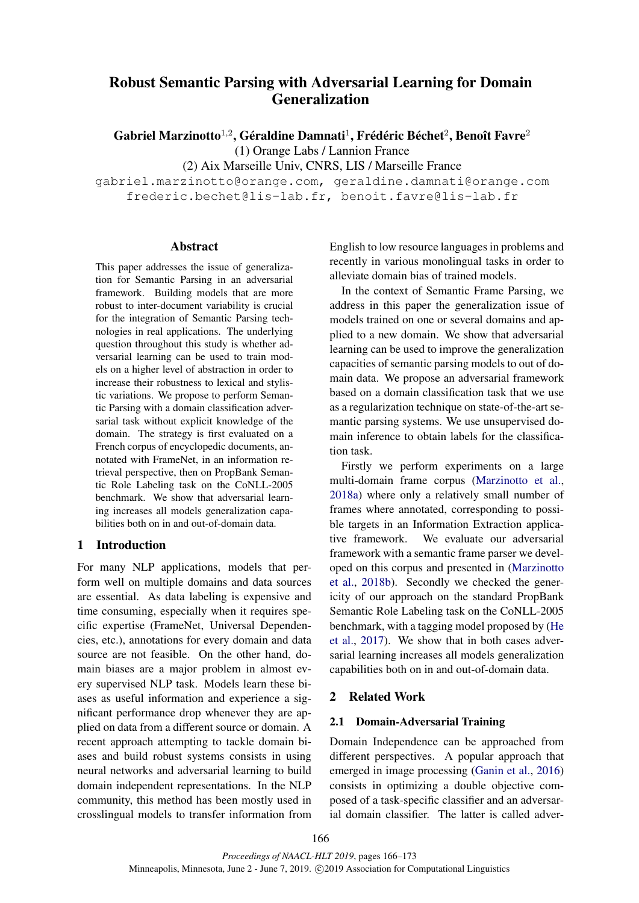# Robust Semantic Parsing with Adversarial Learning for Domain Generalization

Gabriel Marzinotto $^{1,2}$ , Géraldine Damnati $^{1}$ , Frédéric Béchet $^{2}$ , Benoît Favre $^{2}$ (1) Orange Labs / Lannion France

(2) Aix Marseille Univ, CNRS, LIS / Marseille France

gabriel.marzinotto@orange.com, geraldine.damnati@orange.com frederic.bechet@lis-lab.fr, benoit.favre@lis-lab.fr

# Abstract

This paper addresses the issue of generalization for Semantic Parsing in an adversarial framework. Building models that are more robust to inter-document variability is crucial for the integration of Semantic Parsing technologies in real applications. The underlying question throughout this study is whether adversarial learning can be used to train models on a higher level of abstraction in order to increase their robustness to lexical and stylistic variations. We propose to perform Semantic Parsing with a domain classification adversarial task without explicit knowledge of the domain. The strategy is first evaluated on a French corpus of encyclopedic documents, annotated with FrameNet, in an information retrieval perspective, then on PropBank Semantic Role Labeling task on the CoNLL-2005 benchmark. We show that adversarial learning increases all models generalization capabilities both on in and out-of-domain data.

# 1 Introduction

For many NLP applications, models that perform well on multiple domains and data sources are essential. As data labeling is expensive and time consuming, especially when it requires specific expertise (FrameNet, Universal Dependencies, etc.), annotations for every domain and data source are not feasible. On the other hand, domain biases are a major problem in almost every supervised NLP task. Models learn these biases as useful information and experience a significant performance drop whenever they are applied on data from a different source or domain. A recent approach attempting to tackle domain biases and build robust systems consists in using neural networks and adversarial learning to build domain independent representations. In the NLP community, this method has been mostly used in crosslingual models to transfer information from English to low resource languages in problems and recently in various monolingual tasks in order to alleviate domain bias of trained models.

In the context of Semantic Frame Parsing, we address in this paper the generalization issue of models trained on one or several domains and applied to a new domain. We show that adversarial learning can be used to improve the generalization capacities of semantic parsing models to out of domain data. We propose an adversarial framework based on a domain classification task that we use as a regularization technique on state-of-the-art semantic parsing systems. We use unsupervised domain inference to obtain labels for the classification task.

Firstly we perform experiments on a large multi-domain frame corpus [\(Marzinotto et al.,](#page-7-0) [2018a\)](#page-7-0) where only a relatively small number of frames where annotated, corresponding to possible targets in an Information Extraction applicative framework. We evaluate our adversarial framework with a semantic frame parser we developed on this corpus and presented in [\(Marzinotto](#page-7-1) [et al.,](#page-7-1) [2018b\)](#page-7-1). Secondly we checked the genericity of our approach on the standard PropBank Semantic Role Labeling task on the CoNLL-2005 benchmark, with a tagging model proposed by [\(He](#page-7-2) [et al.,](#page-7-2) [2017\)](#page-7-2). We show that in both cases adversarial learning increases all models generalization capabilities both on in and out-of-domain data.

# 2 Related Work

# 2.1 Domain-Adversarial Training

Domain Independence can be approached from different perspectives. A popular approach that emerged in image processing [\(Ganin et al.,](#page-7-3) [2016\)](#page-7-3) consists in optimizing a double objective composed of a task-specific classifier and an adversarial domain classifier. The latter is called adver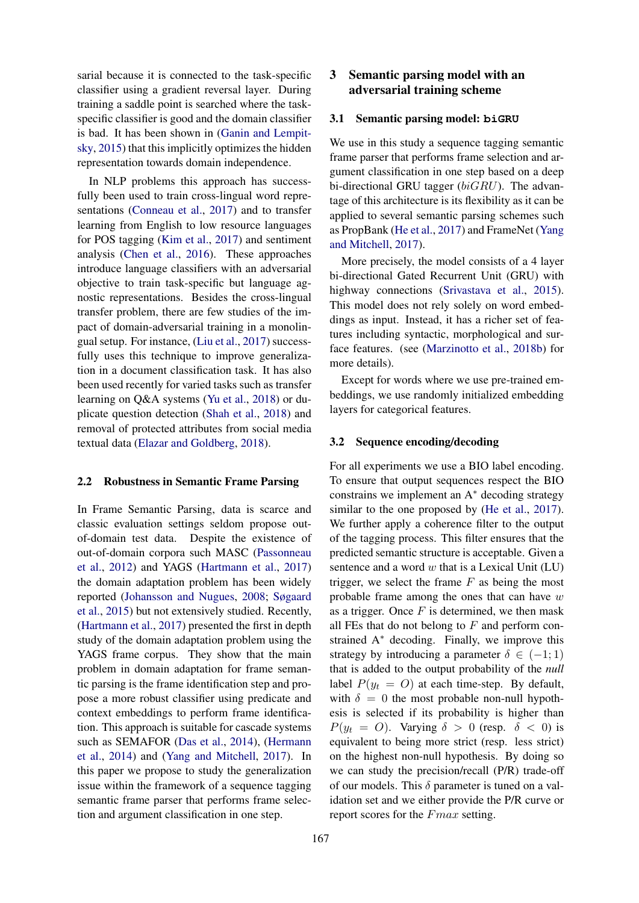sarial because it is connected to the task-specific classifier using a gradient reversal layer. During training a saddle point is searched where the taskspecific classifier is good and the domain classifier is bad. It has been shown in [\(Ganin and Lempit](#page-7-4)[sky,](#page-7-4) [2015\)](#page-7-4) that this implicitly optimizes the hidden representation towards domain independence.

In NLP problems this approach has successfully been used to train cross-lingual word representations [\(Conneau et al.,](#page-6-0) [2017\)](#page-6-0) and to transfer learning from English to low resource languages for POS tagging [\(Kim et al.,](#page-7-5) [2017\)](#page-7-5) and sentiment analysis [\(Chen et al.,](#page-6-1) [2016\)](#page-6-1). These approaches introduce language classifiers with an adversarial objective to train task-specific but language agnostic representations. Besides the cross-lingual transfer problem, there are few studies of the impact of domain-adversarial training in a monolingual setup. For instance, [\(Liu et al.,](#page-7-6) [2017\)](#page-7-6) successfully uses this technique to improve generalization in a document classification task. It has also been used recently for varied tasks such as transfer learning on Q&A systems [\(Yu et al.,](#page-7-7) [2018\)](#page-7-7) or duplicate question detection [\(Shah et al.,](#page-7-8) [2018\)](#page-7-8) and removal of protected attributes from social media textual data [\(Elazar and Goldberg,](#page-6-2) [2018\)](#page-6-2).

#### 2.2 Robustness in Semantic Frame Parsing

In Frame Semantic Parsing, data is scarce and classic evaluation settings seldom propose outof-domain test data. Despite the existence of out-of-domain corpora such MASC [\(Passonneau](#page-7-9) [et al.,](#page-7-9) [2012\)](#page-7-9) and YAGS [\(Hartmann et al.,](#page-7-10) [2017\)](#page-7-10) the domain adaptation problem has been widely reported [\(Johansson and Nugues,](#page-7-11) [2008;](#page-7-11) [Søgaard](#page-7-12) [et al.,](#page-7-12) [2015\)](#page-7-12) but not extensively studied. Recently, [\(Hartmann et al.,](#page-7-10) [2017\)](#page-7-10) presented the first in depth study of the domain adaptation problem using the YAGS frame corpus. They show that the main problem in domain adaptation for frame semantic parsing is the frame identification step and propose a more robust classifier using predicate and context embeddings to perform frame identification. This approach is suitable for cascade systems such as SEMAFOR [\(Das et al.,](#page-6-3) [2014\)](#page-6-3), [\(Hermann](#page-7-13) [et al.,](#page-7-13) [2014\)](#page-7-13) and [\(Yang and Mitchell,](#page-7-14) [2017\)](#page-7-14). In this paper we propose to study the generalization issue within the framework of a sequence tagging semantic frame parser that performs frame selection and argument classification in one step.

# 3 Semantic parsing model with an adversarial training scheme

#### <span id="page-1-0"></span>3.1 Semantic parsing model: **biGRU**

We use in this study a sequence tagging semantic frame parser that performs frame selection and argument classification in one step based on a deep bi-directional GRU tagger ( $biGRU$ ). The advantage of this architecture is its flexibility as it can be applied to several semantic parsing schemes such as PropBank [\(He et al.,](#page-7-2) [2017\)](#page-7-2) and FrameNet [\(Yang](#page-7-14) [and Mitchell,](#page-7-14) [2017\)](#page-7-14).

More precisely, the model consists of a 4 layer bi-directional Gated Recurrent Unit (GRU) with highway connections [\(Srivastava et al.,](#page-7-15) [2015\)](#page-7-15). This model does not rely solely on word embeddings as input. Instead, it has a richer set of features including syntactic, morphological and surface features. (see [\(Marzinotto et al.,](#page-7-1) [2018b\)](#page-7-1) for more details).

Except for words where we use pre-trained embeddings, we use randomly initialized embedding layers for categorical features.

#### 3.2 Sequence encoding/decoding

For all experiments we use a BIO label encoding. To ensure that output sequences respect the BIO constrains we implement an A<sup>∗</sup> decoding strategy similar to the one proposed by [\(He et al.,](#page-7-2) [2017\)](#page-7-2). We further apply a coherence filter to the output of the tagging process. This filter ensures that the predicted semantic structure is acceptable. Given a sentence and a word  $w$  that is a Lexical Unit (LU) trigger, we select the frame  $F$  as being the most probable frame among the ones that can have  $w$ as a trigger. Once  $F$  is determined, we then mask all FEs that do not belong to  $F$  and perform constrained A<sup>∗</sup> decoding. Finally, we improve this strategy by introducing a parameter  $\delta \in (-1, 1)$ that is added to the output probability of the *null* label  $P(y_t = O)$  at each time-step. By default, with  $\delta = 0$  the most probable non-null hypothesis is selected if its probability is higher than  $P(y_t = O)$ . Varying  $\delta > 0$  (resp.  $\delta < 0$ ) is equivalent to being more strict (resp. less strict) on the highest non-null hypothesis. By doing so we can study the precision/recall (P/R) trade-off of our models. This  $\delta$  parameter is tuned on a validation set and we either provide the P/R curve or report scores for the Fmax setting.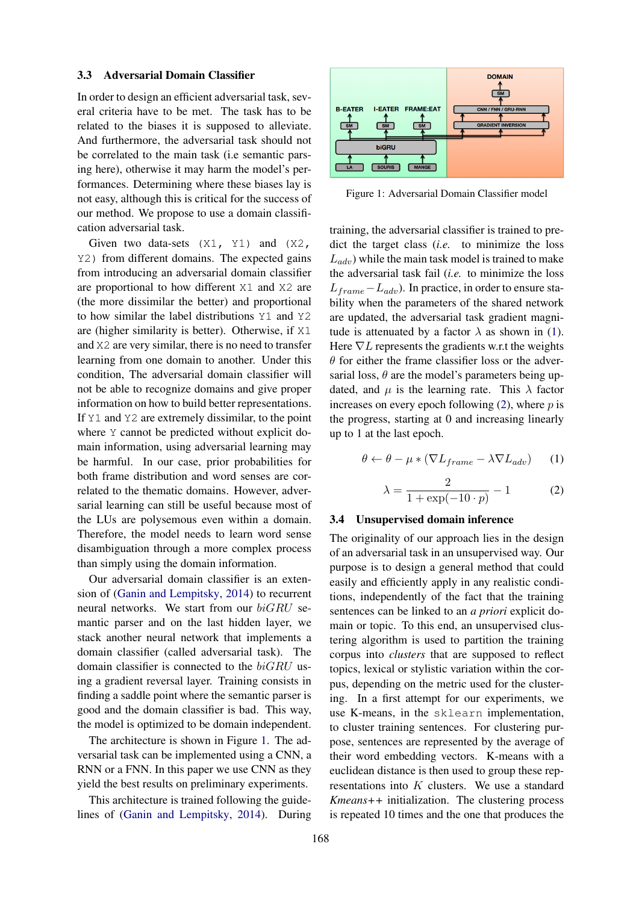### 3.3 Adversarial Domain Classifier

In order to design an efficient adversarial task, several criteria have to be met. The task has to be related to the biases it is supposed to alleviate. And furthermore, the adversarial task should not be correlated to the main task (i.e semantic parsing here), otherwise it may harm the model's performances. Determining where these biases lay is not easy, although this is critical for the success of our method. We propose to use a domain classification adversarial task.

Given two data-sets  $(X1, Y1)$  and  $(X2, Y)$ Y2) from different domains. The expected gains from introducing an adversarial domain classifier are proportional to how different X1 and X2 are (the more dissimilar the better) and proportional to how similar the label distributions Y1 and Y2 are (higher similarity is better). Otherwise, if X1 and X2 are very similar, there is no need to transfer learning from one domain to another. Under this condition, The adversarial domain classifier will not be able to recognize domains and give proper information on how to build better representations. If Y1 and Y2 are extremely dissimilar, to the point where Y cannot be predicted without explicit domain information, using adversarial learning may be harmful. In our case, prior probabilities for both frame distribution and word senses are correlated to the thematic domains. However, adversarial learning can still be useful because most of the LUs are polysemous even within a domain. Therefore, the model needs to learn word sense disambiguation through a more complex process than simply using the domain information.

Our adversarial domain classifier is an extension of [\(Ganin and Lempitsky,](#page-7-16) [2014\)](#page-7-16) to recurrent neural networks. We start from our biGRU semantic parser and on the last hidden layer, we stack another neural network that implements a domain classifier (called adversarial task). The domain classifier is connected to the biGRU using a gradient reversal layer. Training consists in finding a saddle point where the semantic parser is good and the domain classifier is bad. This way, the model is optimized to be domain independent.

The architecture is shown in Figure [1.](#page-2-0) The adversarial task can be implemented using a CNN, a RNN or a FNN. In this paper we use CNN as they yield the best results on preliminary experiments.

This architecture is trained following the guidelines of [\(Ganin and Lempitsky,](#page-7-16) [2014\)](#page-7-16). During

<span id="page-2-0"></span>

Figure 1: Adversarial Domain Classifier model

training, the adversarial classifier is trained to predict the target class (*i.e.* to minimize the loss  $L_{adv}$ ) while the main task model is trained to make the adversarial task fail (*i.e.* to minimize the loss  $L_{frame}-L_{adv}$ ). In practice, in order to ensure stability when the parameters of the shared network are updated, the adversarial task gradient magnitude is attenuated by a factor  $\lambda$  as shown in [\(1\)](#page-2-1). Here  $\nabla L$  represents the gradients w.r.t the weights  $\theta$  for either the frame classifier loss or the adversarial loss,  $\theta$  are the model's parameters being updated, and  $\mu$  is the learning rate. This  $\lambda$  factor increases on every epoch following  $(2)$ , where p is the progress, starting at 0 and increasing linearly up to 1 at the last epoch.

<span id="page-2-1"></span>
$$
\theta \leftarrow \theta - \mu * (\nabla L_{frame} - \lambda \nabla L_{adv}) \tag{1}
$$

<span id="page-2-2"></span>
$$
\lambda = \frac{2}{1 + \exp(-10 \cdot p)} - 1 \tag{2}
$$

#### <span id="page-2-3"></span>3.4 Unsupervised domain inference

The originality of our approach lies in the design of an adversarial task in an unsupervised way. Our purpose is to design a general method that could easily and efficiently apply in any realistic conditions, independently of the fact that the training sentences can be linked to an *a priori* explicit domain or topic. To this end, an unsupervised clustering algorithm is used to partition the training corpus into *clusters* that are supposed to reflect topics, lexical or stylistic variation within the corpus, depending on the metric used for the clustering. In a first attempt for our experiments, we use K-means, in the sklearn implementation, to cluster training sentences. For clustering purpose, sentences are represented by the average of their word embedding vectors. K-means with a euclidean distance is then used to group these representations into  $K$  clusters. We use a standard *Kmeans++* initialization. The clustering process is repeated 10 times and the one that produces the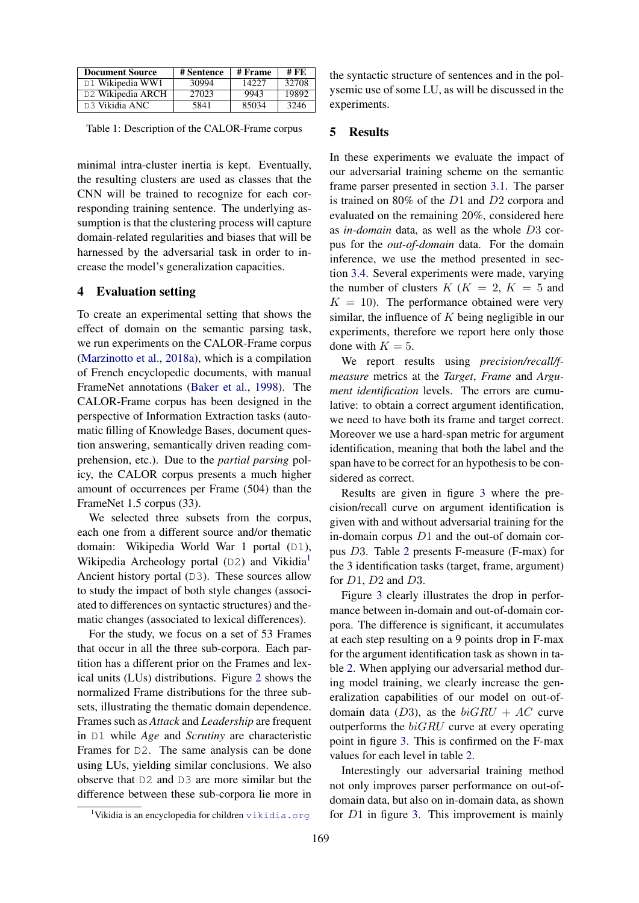| <b>Document Source</b>        | # Sentence | # Frame | # FE  |
|-------------------------------|------------|---------|-------|
| D1 Wikipedia WW1              | 30994      | 14227   | 32708 |
| D <sub>2</sub> Wikipedia ARCH | 27023      | 9943    | 19892 |
| D <sub>3</sub> Vikidia ANC    | 5841       | 85034   | 3246  |

Table 1: Description of the CALOR-Frame corpus

minimal intra-cluster inertia is kept. Eventually, the resulting clusters are used as classes that the CNN will be trained to recognize for each corresponding training sentence. The underlying assumption is that the clustering process will capture domain-related regularities and biases that will be harnessed by the adversarial task in order to increase the model's generalization capacities.

# 4 Evaluation setting

To create an experimental setting that shows the effect of domain on the semantic parsing task, we run experiments on the CALOR-Frame corpus [\(Marzinotto et al.,](#page-7-0) [2018a\)](#page-7-0), which is a compilation of French encyclopedic documents, with manual FrameNet annotations [\(Baker et al.,](#page-6-4) [1998\)](#page-6-4). The CALOR-Frame corpus has been designed in the perspective of Information Extraction tasks (automatic filling of Knowledge Bases, document question answering, semantically driven reading comprehension, etc.). Due to the *partial parsing* policy, the CALOR corpus presents a much higher amount of occurrences per Frame (504) than the FrameNet 1.5 corpus (33).

We selected three subsets from the corpus, each one from a different source and/or thematic domain: Wikipedia World War 1 portal (D1), Wikipedia Archeology portal (D2) and Vikidia<sup>[1](#page-3-0)</sup> Ancient history portal (D3). These sources allow to study the impact of both style changes (associated to differences on syntactic structures) and thematic changes (associated to lexical differences).

For the study, we focus on a set of 53 Frames that occur in all the three sub-corpora. Each partition has a different prior on the Frames and lexical units (LUs) distributions. Figure [2](#page-4-0) shows the normalized Frame distributions for the three subsets, illustrating the thematic domain dependence. Frames such as *Attack* and *Leadership* are frequent in D1 while *Age* and *Scrutiny* are characteristic Frames for D2. The same analysis can be done using LUs, yielding similar conclusions. We also observe that D2 and D3 are more similar but the difference between these sub-corpora lie more in the syntactic structure of sentences and in the polysemic use of some LU, as will be discussed in the experiments.

# 5 Results

In these experiments we evaluate the impact of our adversarial training scheme on the semantic frame parser presented in section [3.1.](#page-1-0) The parser is trained on 80% of the D1 and D2 corpora and evaluated on the remaining 20%, considered here as *in-domain* data, as well as the whole D3 corpus for the *out-of-domain* data. For the domain inference, we use the method presented in section [3.4.](#page-2-3) Several experiments were made, varying the number of clusters  $K$  ( $K = 2$ ,  $K = 5$  and  $K = 10$ ). The performance obtained were very similar, the influence of  $K$  being negligible in our experiments, therefore we report here only those done with  $K = 5$ .

We report results using *precision/recall/fmeasure* metrics at the *Target*, *Frame* and *Argument identification* levels. The errors are cumulative: to obtain a correct argument identification, we need to have both its frame and target correct. Moreover we use a hard-span metric for argument identification, meaning that both the label and the span have to be correct for an hypothesis to be considered as correct.

Results are given in figure [3](#page-4-1) where the precision/recall curve on argument identification is given with and without adversarial training for the in-domain corpus D1 and the out-of domain corpus D3. Table [2](#page-5-0) presents F-measure (F-max) for the 3 identification tasks (target, frame, argument) for  $D1$ ,  $D2$  and  $D3$ .

Figure [3](#page-4-1) clearly illustrates the drop in performance between in-domain and out-of-domain corpora. The difference is significant, it accumulates at each step resulting on a 9 points drop in F-max for the argument identification task as shown in table [2.](#page-5-0) When applying our adversarial method during model training, we clearly increase the generalization capabilities of our model on out-ofdomain data (D3), as the  $biGRU + AC$  curve outperforms the  $biGRU$  curve at every operating point in figure [3.](#page-4-1) This is confirmed on the F-max values for each level in table [2.](#page-5-0)

Interestingly our adversarial training method not only improves parser performance on out-ofdomain data, but also on in-domain data, as shown for D1 in figure [3.](#page-4-1) This improvement is mainly

<span id="page-3-0"></span><sup>&</sup>lt;sup>1</sup>Vikidia is an encyclopedia for children  $v$ ikidia.org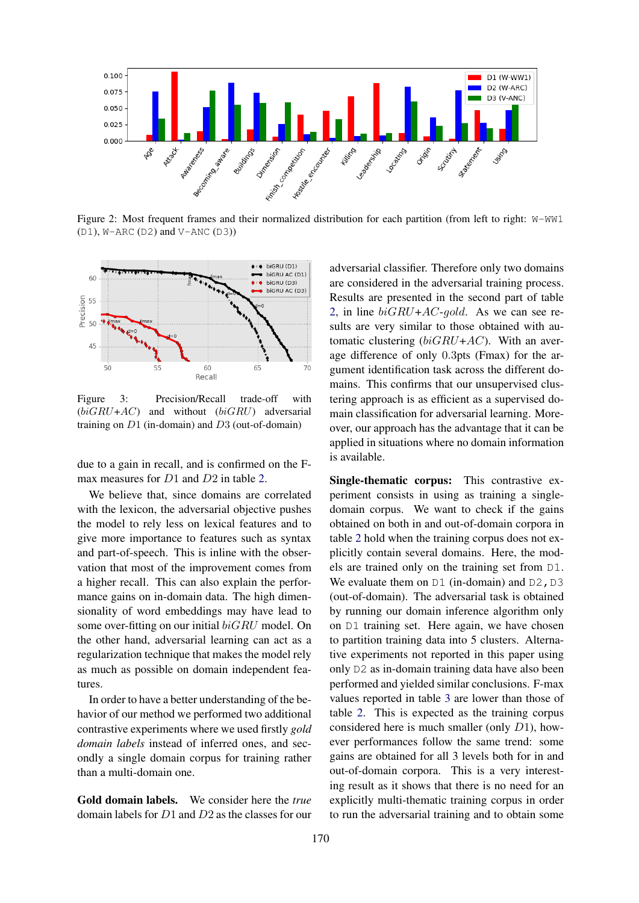<span id="page-4-0"></span>

Figure 2: Most frequent frames and their normalized distribution for each partition (from left to right: W-WW1 (D1), W-ARC (D2) and V-ANC (D3))

<span id="page-4-1"></span>

Figure 3: Precision/Recall trade-off with  $(biGRU+AC)$  and without  $(biGRU)$  adversarial training on  $D1$  (in-domain) and  $D3$  (out-of-domain)

due to a gain in recall, and is confirmed on the F-max measures for D1 and D2 in table [2.](#page-5-0)

We believe that, since domains are correlated with the lexicon, the adversarial objective pushes the model to rely less on lexical features and to give more importance to features such as syntax and part-of-speech. This is inline with the observation that most of the improvement comes from a higher recall. This can also explain the performance gains on in-domain data. The high dimensionality of word embeddings may have lead to some over-fitting on our initial biGRU model. On the other hand, adversarial learning can act as a regularization technique that makes the model rely as much as possible on domain independent features.

In order to have a better understanding of the behavior of our method we performed two additional contrastive experiments where we used firstly *gold domain labels* instead of inferred ones, and secondly a single domain corpus for training rather than a multi-domain one.

Gold domain labels. We consider here the *true* domain labels for D1 and D2 as the classes for our

adversarial classifier. Therefore only two domains are considered in the adversarial training process. Results are presented in the second part of table [2,](#page-5-0) in line  $biGRU + AC$ -gold. As we can see results are very similar to those obtained with automatic clustering  $(biGRU+AC)$ . With an average difference of only 0.3pts (Fmax) for the argument identification task across the different domains. This confirms that our unsupervised clustering approach is as efficient as a supervised domain classification for adversarial learning. Moreover, our approach has the advantage that it can be applied in situations where no domain information is available.

Single-thematic corpus: This contrastive experiment consists in using as training a singledomain corpus. We want to check if the gains obtained on both in and out-of-domain corpora in table [2](#page-5-0) hold when the training corpus does not explicitly contain several domains. Here, the models are trained only on the training set from D1. We evaluate them on  $DI$  (in-domain) and  $D2$ ,  $D3$ (out-of-domain). The adversarial task is obtained by running our domain inference algorithm only on D1 training set. Here again, we have chosen to partition training data into 5 clusters. Alternative experiments not reported in this paper using only D2 as in-domain training data have also been performed and yielded similar conclusions. F-max values reported in table [3](#page-6-5) are lower than those of table [2.](#page-5-0) This is expected as the training corpus considered here is much smaller (only D1), however performances follow the same trend: some gains are obtained for all 3 levels both for in and out-of-domain corpora. This is a very interesting result as it shows that there is no need for an explicitly multi-thematic training corpus in order to run the adversarial training and to obtain some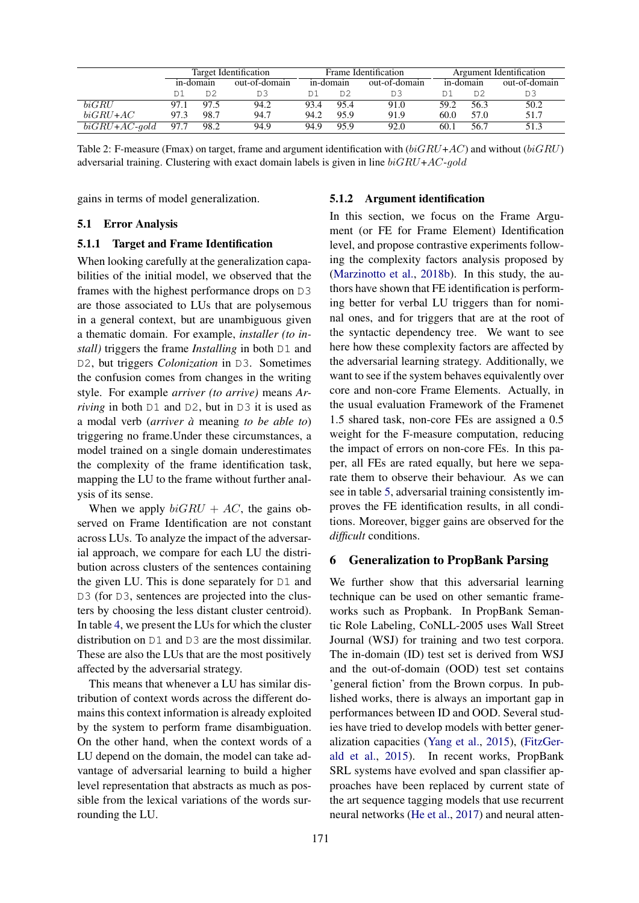<span id="page-5-0"></span>

|                    | Target Identification |           | Frame Identification |      |                | Argument Identification |      |           |                |
|--------------------|-----------------------|-----------|----------------------|------|----------------|-------------------------|------|-----------|----------------|
|                    |                       | in-domain | out-of-domain        |      | in-domain      | out-of-domain           |      | in-domain | out-of-domain  |
|                    |                       | D2        | DЭ                   |      | D <sub>2</sub> |                         |      | D2        | D <sub>3</sub> |
| biGRU              | 97.1                  | 97.5      | 94.2                 | 93.4 | 95.4           | 91.0                    | 59.2 | 56.3      | 50.2           |
| $biGRU + AC$       | 97.3                  | 98.7      | 94.7                 | 94.2 | 95.9           | 91.9                    | 60.0 | 57.0      | 51.7           |
| $biGRU + AC$ -gold | 97.7                  | 98.2      | 94.9                 | 94.9 | 95.9           | 92.0                    | 60.1 | 56.7      | 51.3           |

Table 2: F-measure (Fmax) on target, frame and argument identification with  $(biGRU+AC)$  and without  $(biGRU)$ adversarial training. Clustering with exact domain labels is given in line  $biGRU+AC-gold$ 

gains in terms of model generalization.

### 5.1 Error Analysis

# 5.1.1 Target and Frame Identification

When looking carefully at the generalization capabilities of the initial model, we observed that the frames with the highest performance drops on D3 are those associated to LUs that are polysemous in a general context, but are unambiguous given a thematic domain. For example, *installer (to install)* triggers the frame *Installing* in both D1 and D2, but triggers *Colonization* in D3. Sometimes the confusion comes from changes in the writing style. For example *arriver (to arrive)* means *Arriving* in both D1 and D2, but in D3 it is used as a modal verb (*arriver a`* meaning *to be able to*) triggering no frame.Under these circumstances, a model trained on a single domain underestimates the complexity of the frame identification task, mapping the LU to the frame without further analysis of its sense.

When we apply  $biGRU + AC$ , the gains observed on Frame Identification are not constant across LUs. To analyze the impact of the adversarial approach, we compare for each LU the distribution across clusters of the sentences containing the given LU. This is done separately for D1 and D3 (for D3, sentences are projected into the clusters by choosing the less distant cluster centroid). In table [4,](#page-6-6) we present the LUs for which the cluster distribution on D1 and D3 are the most dissimilar. These are also the LUs that are the most positively affected by the adversarial strategy.

This means that whenever a LU has similar distribution of context words across the different domains this context information is already exploited by the system to perform frame disambiguation. On the other hand, when the context words of a LU depend on the domain, the model can take advantage of adversarial learning to build a higher level representation that abstracts as much as possible from the lexical variations of the words surrounding the LU.

#### 5.1.2 Argument identification

In this section, we focus on the Frame Argument (or FE for Frame Element) Identification level, and propose contrastive experiments following the complexity factors analysis proposed by [\(Marzinotto et al.,](#page-7-1) [2018b\)](#page-7-1). In this study, the authors have shown that FE identification is performing better for verbal LU triggers than for nominal ones, and for triggers that are at the root of the syntactic dependency tree. We want to see here how these complexity factors are affected by the adversarial learning strategy. Additionally, we want to see if the system behaves equivalently over core and non-core Frame Elements. Actually, in the usual evaluation Framework of the Framenet 1.5 shared task, non-core FEs are assigned a 0.5 weight for the F-measure computation, reducing the impact of errors on non-core FEs. In this paper, all FEs are rated equally, but here we separate them to observe their behaviour. As we can see in table [5,](#page-6-7) adversarial training consistently improves the FE identification results, in all conditions. Moreover, bigger gains are observed for the *difficult* conditions.

### 6 Generalization to PropBank Parsing

We further show that this adversarial learning technique can be used on other semantic frameworks such as Propbank. In PropBank Semantic Role Labeling, CoNLL-2005 uses Wall Street Journal (WSJ) for training and two test corpora. The in-domain (ID) test set is derived from WSJ and the out-of-domain (OOD) test set contains 'general fiction' from the Brown corpus. In published works, there is always an important gap in performances between ID and OOD. Several studies have tried to develop models with better generalization capacities [\(Yang et al.,](#page-7-17) [2015\)](#page-7-17), [\(FitzGer](#page-6-8)[ald et al.,](#page-6-8) [2015\)](#page-6-8). In recent works, PropBank SRL systems have evolved and span classifier approaches have been replaced by current state of the art sequence tagging models that use recurrent neural networks [\(He et al.,](#page-7-2) [2017\)](#page-7-2) and neural atten-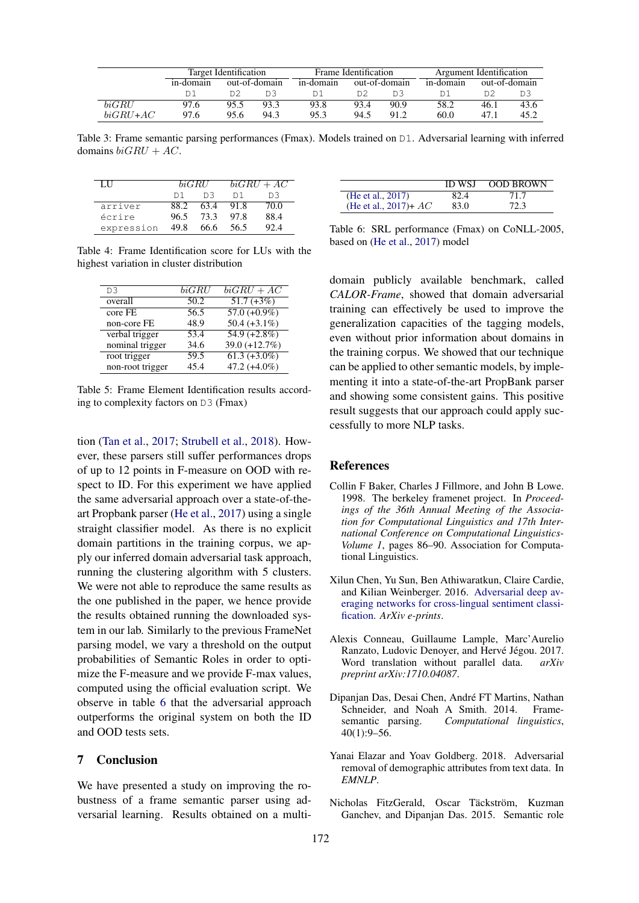<span id="page-6-5"></span>

|            |           | Target Identification |               |           | Frame Identification |               | Argument Identification |      |               |
|------------|-----------|-----------------------|---------------|-----------|----------------------|---------------|-------------------------|------|---------------|
|            | in-domain |                       | out-of-domain | in-domain |                      | out-of-domain | in-domain               |      | out-of-domain |
|            |           |                       |               |           | D2                   | DΞ            |                         |      |               |
| biGRU      | 97.6      | 95.5                  | 93.3          | 93.8      | 93.4                 | 90.9          | 58.2                    | 46.1 | 43.6          |
| $biGRU+AC$ | 97.6      | 95.6                  | 94.3          | 953       | 94.5                 | 91.2          | 60.0                    | 47.1 | 45.2          |

Table 3: Frame semantic parsing performances (Fmax). Models trained on D1. Adversarial learning with inferred domains  $biGRU + AC$ .

<span id="page-6-6"></span>

| LН         |                | biGRIJ | $biGRU + AC$ |      |  |
|------------|----------------|--------|--------------|------|--|
|            | D <sub>1</sub> | D3     | D 1          | D3   |  |
| arriver    | 88.2           | 63.4   | 91.8         | 70.0 |  |
| écrire     | 96.5           | 73.3   | 97.8         | 88.4 |  |
| expression | 49.8           | 66.6   | 56.5         | 92.4 |  |

Table 4: Frame Identification score for LUs with the highest variation in cluster distribution

<span id="page-6-7"></span>

| D <sub>3</sub>   | biGRU | $biGRU + AC$               |
|------------------|-------|----------------------------|
| overall          | 50.2  | $51.7 (+3%)$               |
| core FE          | 56.5  | $57.0 (+0.9\%)$            |
| non-core FE      | 48.9  | $50.4 (+3.1\%)$            |
| verbal trigger   | 53.4  | $\overline{54.9 (+2.8\%)}$ |
| nominal trigger  | 34.6  | 39.0 $(+12.7%)$            |
| root trigger     | 59.5  | $61.3 (+3.0\%)$            |
| non-root trigger | 45.4  | 47.2 $(+4.0\%)$            |

Table 5: Frame Element Identification results according to complexity factors on D3 (Fmax)

tion [\(Tan et al.,](#page-7-18) [2017;](#page-7-18) [Strubell et al.,](#page-7-19) [2018\)](#page-7-19). However, these parsers still suffer performances drops of up to 12 points in F-measure on OOD with respect to ID. For this experiment we have applied the same adversarial approach over a state-of-theart Propbank parser [\(He et al.,](#page-7-2) [2017\)](#page-7-2) using a single straight classifier model. As there is no explicit domain partitions in the training corpus, we apply our inferred domain adversarial task approach, running the clustering algorithm with 5 clusters. We were not able to reproduce the same results as the one published in the paper, we hence provide the results obtained running the downloaded system in our lab. Similarly to the previous FrameNet parsing model, we vary a threshold on the output probabilities of Semantic Roles in order to optimize the F-measure and we provide F-max values, computed using the official evaluation script. We observe in table [6](#page-6-9) that the adversarial approach outperforms the original system on both the ID and OOD tests sets.

# 7 Conclusion

We have presented a study on improving the robustness of a frame semantic parser using adversarial learning. Results obtained on a multi-

<span id="page-6-9"></span>

|                         | <b>ID WSJ</b> | <b>OOD BROWN</b> |
|-------------------------|---------------|------------------|
| (He et al., 2017)       | 82.4          | 71.7             |
| (He et al., 2017)+ $AC$ | 83.0          | 72.3             |

Table 6: SRL performance (Fmax) on CoNLL-2005, based on [\(He et al.,](#page-7-2) [2017\)](#page-7-2) model

domain publicly available benchmark, called *CALOR-Frame*, showed that domain adversarial training can effectively be used to improve the generalization capacities of the tagging models, even without prior information about domains in the training corpus. We showed that our technique can be applied to other semantic models, by implementing it into a state-of-the-art PropBank parser and showing some consistent gains. This positive result suggests that our approach could apply successfully to more NLP tasks.

### **References**

- <span id="page-6-4"></span>Collin F Baker, Charles J Fillmore, and John B Lowe. 1998. The berkeley framenet project. In *Proceedings of the 36th Annual Meeting of the Association for Computational Linguistics and 17th International Conference on Computational Linguistics-Volume 1*, pages 86–90. Association for Computational Linguistics.
- <span id="page-6-1"></span>Xilun Chen, Yu Sun, Ben Athiwaratkun, Claire Cardie, and Kilian Weinberger. 2016. [Adversarial deep av](http://arxiv.org/abs/1606.01614)[eraging networks for cross-lingual sentiment classi](http://arxiv.org/abs/1606.01614)[fication.](http://arxiv.org/abs/1606.01614) *ArXiv e-prints*.
- <span id="page-6-0"></span>Alexis Conneau, Guillaume Lample, Marc'Aurelio Ranzato, Ludovic Denoyer, and Hervé Jégou. 2017. Word translation without parallel data. *arXiv preprint arXiv:1710.04087*.
- <span id="page-6-3"></span>Dipanjan Das, Desai Chen, Andre FT Martins, Nathan ´ Schneider, and Noah A Smith. 2014. Framesemantic parsing. *Computational linguistics*, 40(1):9–56.
- <span id="page-6-2"></span>Yanai Elazar and Yoav Goldberg. 2018. Adversarial removal of demographic attributes from text data. In *EMNLP*.
- <span id="page-6-8"></span>Nicholas FitzGerald, Oscar Täckström, Kuzman Ganchev, and Dipanjan Das. 2015. Semantic role